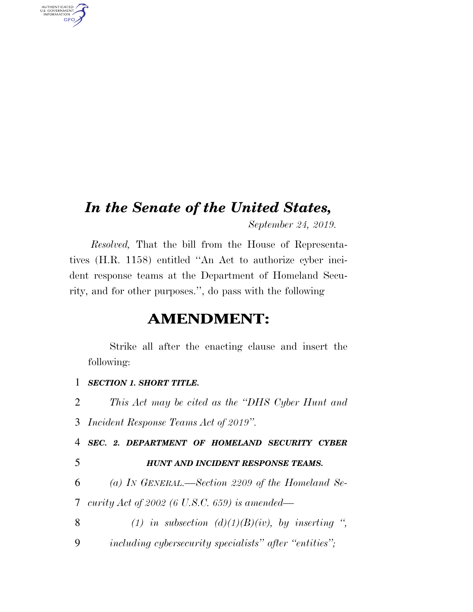## *In the Senate of the United States,*

*September 24, 2019.* 

*Resolved,* That the bill from the House of Representatives (H.R. 1158) entitled ''An Act to authorize cyber incident response teams at the Department of Homeland Security, and for other purposes.'', do pass with the following

### **AMENDMENT:**

Strike all after the enacting clause and insert the following:

#### 1 *SECTION 1. SHORT TITLE.*

2 *This Act may be cited as the ''DHS Cyber Hunt and* 

3 *Incident Response Teams Act of 2019''.* 

4 *SEC. 2. DEPARTMENT OF HOMELAND SECURITY CYBER* 

AUTHENTICATED<br>U.S. GOVERNMENT<br>INFORMATION

**GPO** 

#### 5 *HUNT AND INCIDENT RESPONSE TEAMS.*

6 *(a) IN GENERAL.—Section 2209 of the Homeland Se-*7 *curity Act of 2002 (6 U.S.C. 659) is amended—* 

8  $(1)$  in subsection  $(d)(1)(B)(iv)$ , by inserting ", 9 *including cybersecurity specialists'' after ''entities'';*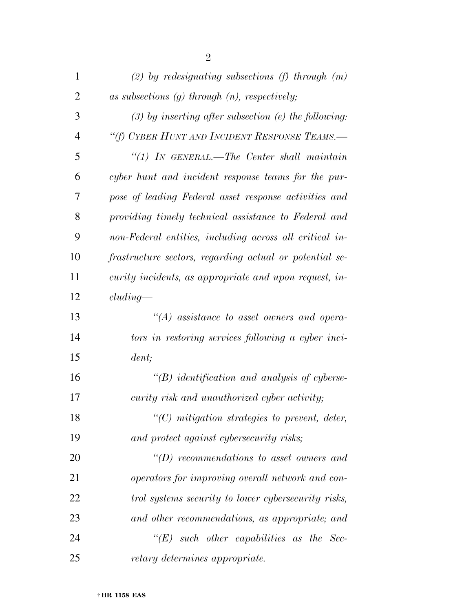| 1              | $(2)$ by redesignating subsections (f) through $(m)$    |
|----------------|---------------------------------------------------------|
| $\overline{2}$ | as subsections $(g)$ through $(n)$ , respectively;      |
| 3              | $(3)$ by inserting after subsection (e) the following:  |
| $\overline{4}$ | "(f) CYBER HUNT AND INCIDENT RESPONSE TEAMS.-           |
| 5              | $\lq(1)$ IN GENERAL.—The Center shall maintain          |
| 6              | cyber hunt and incident response teams for the pur-     |
| 7              | pose of leading Federal asset response activities and   |
| 8              | providing timely technical assistance to Federal and    |
| 9              | non-Federal entities, including across all critical in- |
| 10             | frastructure sectors, regarding actual or potential se- |
| 11             | curity incidents, as appropriate and upon request, in-  |
| 12             | cluding                                                 |
| 13             | $H(A)$ assistance to asset owners and opera-            |
| 14             | tors in restoring services following a cyber inci-      |
| 15             | dent;                                                   |
| 16             | $\lq\lq(B)$ identification and analysis of cyberse-     |
| 17             | curity risk and unauthorized cyber activity;            |
| 18             | $\lq\lq$ (C) mitigation strategies to prevent, deter,   |
| 19             | and protect against cybersecurity risks;                |
| 20             | $\lq\lq(D)$ recommendations to asset owners and         |
| 21             | operators for improving overall network and con-        |
| 22             | trol systems security to lower cybersecurity risks,     |
| 23             | and other recommendations, as appropriate; and          |
| 24             | $\lq\lq (E)$ such other capabilities as the Sec-        |
| 25             | retary determines appropriate.                          |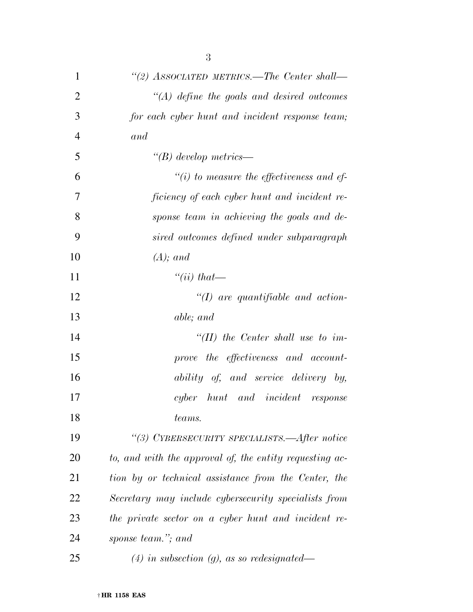| $\mathbf{1}$   | "(2) ASSOCIATED METRICS.—The Center shall—              |
|----------------|---------------------------------------------------------|
| $\overline{2}$ | $\lq (A)$ define the goals and desired outcomes         |
| 3              | for each cyber hunt and incident response team;         |
| $\overline{4}$ | and                                                     |
| 5              | $\lq\lq B$ develop metrics—                             |
| 6              | $``(i)$ to measure the effectiveness and ef-            |
| 7              | ficiency of each cyber hunt and incident re-            |
| 8              | sponse team in achieving the goals and de-              |
| 9              | sired outcomes defined under subparagraph               |
| 10             | $(A);$ and                                              |
| 11             | "(ii) that—                                             |
| 12             | $\lq (I)$ are quantifiable and action-                  |
| 13             | able; and                                               |
| 14             | "(II) the Center shall use to im-                       |
| 15             | prove the effectiveness and account-                    |
| 16             | ability of, and service delivery by,                    |
| 17             | cyber hunt and incident response                        |
| 18             | teams.                                                  |
| 19             | "(3) CYBERSECURITY SPECIALISTS.—After notice            |
| 20             | to, and with the approval of, the entity requesting ac- |
| 21             | tion by or technical assistance from the Center, the    |
| 22             | Secretary may include cybersecurity specialists from    |
| 23             | the private sector on a cyber hunt and incident re-     |
| 24             | sponse team."; and                                      |
| 25             | $(4)$ in subsection $(g)$ , as so redesignated—         |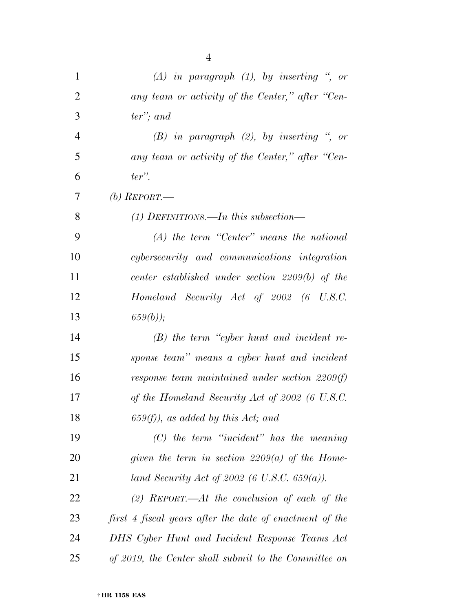| $\mathbf{1}$   | $(A)$ in paragraph $(1)$ , by inserting ", or           |
|----------------|---------------------------------------------------------|
| $\overline{2}$ | any team or activity of the Center," after "Cen-        |
| 3              | $ter$ "; and                                            |
| $\overline{4}$ | $(B)$ in paragraph $(2)$ , by inserting ", or           |
| 5              | any team or activity of the Center," after "Cen-        |
| 6              | $ter$ ".                                                |
| 7              | (b) $REPORT$ —                                          |
| 8              | $(1)$ DEFINITIONS.—In this subsection—                  |
| 9              | $(A)$ the term "Center" means the national              |
| 10             | cybersecurity and communications integration            |
| 11             | center established under section $2209(b)$ of the       |
| 12             | Homeland Security Act of 2002 (6 U.S.C.                 |
| 13             | $659(b)$ ;                                              |
| 14             | $(B)$ the term "cyber hunt and incident re-             |
| 15             | sponse team" means a cyber hunt and incident            |
| 16             | response team maintained under section 2209(f)          |
| 17             | of the Homeland Security Act of 2002 (6 U.S.C.          |
| 18             | $(659(f))$ , as added by this Act; and                  |
| 19             | $(C)$ the term "incident" has the meaning               |
| 20             | given the term in section 2209(a) of the Home-          |
| 21             | land Security Act of 2002 (6 U.S.C. 659(a)).            |
| 22             | (2) REPORT.—At the conclusion of each of the            |
| 23             | first 4 fiscal years after the date of enactment of the |
| 24             | DHS Cyber Hunt and Incident Response Teams Act          |
| 25             | of 2019, the Center shall submit to the Committee on    |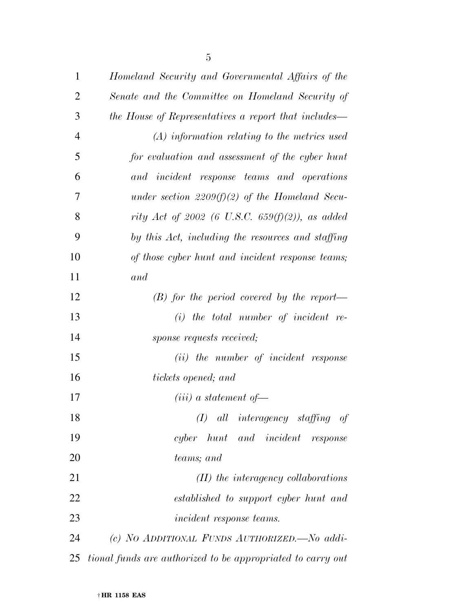| $\mathbf{1}$   | Homeland Security and Governmental Affairs of the           |
|----------------|-------------------------------------------------------------|
| $\overline{2}$ | Senate and the Committee on Homeland Security of            |
| 3              | the House of Representatives a report that includes—        |
| $\overline{4}$ | $(A)$ information relating to the metrics used              |
| 5              | for evaluation and assessment of the cyber hunt             |
| 6              | and incident response teams and operations                  |
| 7              | under section 2209(f)(2) of the Homeland Secu-              |
| 8              | rity Act of 2002 (6 U.S.C. 659(f)(2)), as added             |
| 9              | by this Act, including the resources and staffing           |
| 10             | of those cyber hunt and incident response teams;            |
| 11             | and                                                         |
| 12             | $(B)$ for the period covered by the report—                 |
| 13             | $(i)$ the total number of incident re-                      |
| 14             | sponse requests received;                                   |
| 15             | (ii) the number of incident response                        |
| 16             | tickets opened; and                                         |
| 17             | $(iii)$ a statement of-                                     |
| 18             | $(I)$ all interagency staffing of                           |
| 19             | cyber hunt and incident response                            |
| 20             | teams; and                                                  |
| 21             | $(II)$ the interagency collaborations                       |
| 22             | established to support cyber hunt and                       |
| 23             | <i>incident response teams.</i>                             |
| 24             | (c) NO ADDITIONAL FUNDS AUTHORIZED. No addi-                |
| 25             | tional funds are authorized to be appropriated to carry out |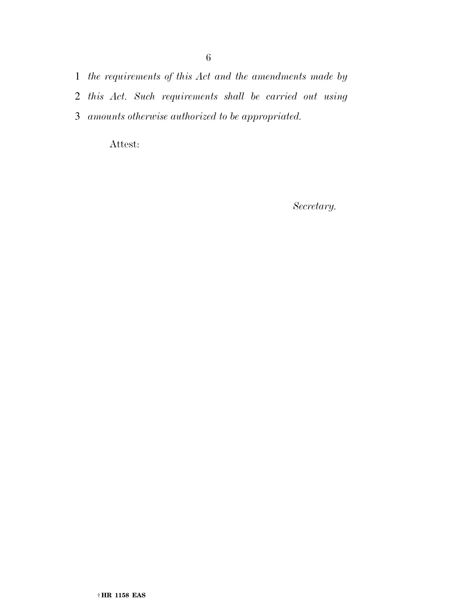1 *the requirements of this Act and the amendments made by* 

- 2 *this Act. Such requirements shall be carried out using*
- 3 *amounts otherwise authorized to be appropriated.*

Attest:

*Secretary.*